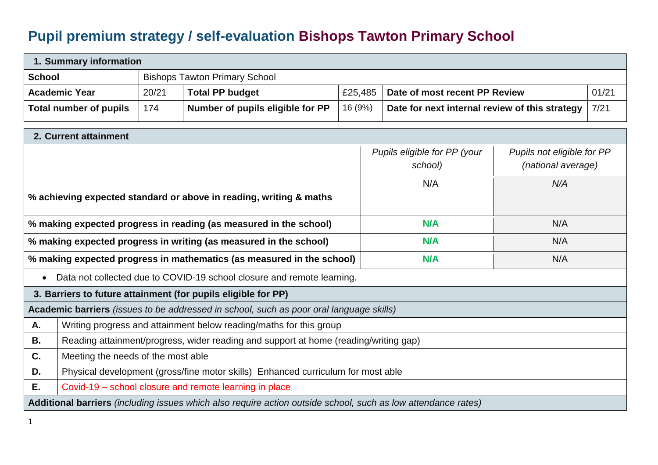## **Pupil premium strategy / self-evaluation Bishops Tawton Primary School**

| 1. Summary information |                                      |       |                                                                                                               |         |  |                                                |                            |       |
|------------------------|--------------------------------------|-------|---------------------------------------------------------------------------------------------------------------|---------|--|------------------------------------------------|----------------------------|-------|
| <b>School</b>          | <b>Bishops Tawton Primary School</b> |       |                                                                                                               |         |  |                                                |                            |       |
|                        | <b>Academic Year</b>                 | 20/21 | <b>Total PP budget</b>                                                                                        | £25,485 |  | Date of most recent PP Review                  |                            | 01/21 |
|                        | <b>Total number of pupils</b>        | 174   | Number of pupils eligible for PP                                                                              | 16 (9%) |  | Date for next internal review of this strategy |                            | 7/21  |
|                        | 2. Current attainment                |       |                                                                                                               |         |  |                                                |                            |       |
|                        |                                      |       |                                                                                                               |         |  | Pupils eligible for PP (your                   | Pupils not eligible for PP |       |
|                        |                                      |       |                                                                                                               |         |  | school)                                        | (national average)         |       |
|                        |                                      |       |                                                                                                               |         |  | N/A                                            | N/A                        |       |
|                        |                                      |       | % achieving expected standard or above in reading, writing & maths                                            |         |  |                                                |                            |       |
|                        |                                      |       | % making expected progress in reading (as measured in the school)                                             |         |  | <b>N/A</b>                                     | N/A                        |       |
|                        |                                      |       | % making expected progress in writing (as measured in the school)                                             |         |  | <b>N/A</b>                                     | N/A                        |       |
|                        |                                      |       | % making expected progress in mathematics (as measured in the school)                                         |         |  | N/A                                            | N/A                        |       |
| $\bullet$              |                                      |       | Data not collected due to COVID-19 school closure and remote learning.                                        |         |  |                                                |                            |       |
|                        |                                      |       | 3. Barriers to future attainment (for pupils eligible for PP)                                                 |         |  |                                                |                            |       |
|                        |                                      |       | Academic barriers (issues to be addressed in school, such as poor oral language skills)                       |         |  |                                                |                            |       |
| A.                     |                                      |       | Writing progress and attainment below reading/maths for this group                                            |         |  |                                                |                            |       |
| В.                     |                                      |       | Reading attainment/progress, wider reading and support at home (reading/writing gap)                          |         |  |                                                |                            |       |
| C.                     | Meeting the needs of the most able   |       |                                                                                                               |         |  |                                                |                            |       |
| D.                     |                                      |       | Physical development (gross/fine motor skills) Enhanced curriculum for most able                              |         |  |                                                |                            |       |
| Е.                     |                                      |       | Covid-19 – school closure and remote learning in place                                                        |         |  |                                                |                            |       |
|                        |                                      |       | Additional barriers (including issues which also require action outside school, such as low attendance rates) |         |  |                                                |                            |       |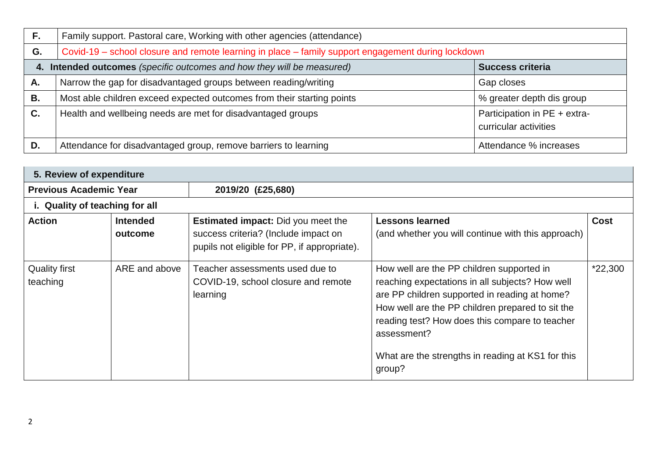| F. | Family support. Pastoral care, Working with other agencies (attendance)                             |                                                       |  |  |  |  |  |
|----|-----------------------------------------------------------------------------------------------------|-------------------------------------------------------|--|--|--|--|--|
| G. | Covid-19 – school closure and remote learning in place – family support engagement during lockdown  |                                                       |  |  |  |  |  |
| 4. | Intended outcomes (specific outcomes and how they will be measured)<br><b>Success criteria</b>      |                                                       |  |  |  |  |  |
| Α. | Narrow the gap for disadvantaged groups between reading/writing<br>Gap closes                       |                                                       |  |  |  |  |  |
| В. | Most able children exceed expected outcomes from their starting points<br>% greater depth dis group |                                                       |  |  |  |  |  |
| C. | Health and wellbeing needs are met for disadvantaged groups                                         | Participation in PE + extra-<br>curricular activities |  |  |  |  |  |
| D. | Attendance for disadvantaged group, remove barriers to learning                                     | Attendance % increases                                |  |  |  |  |  |

| 5. Review of expenditure         |                            |                                                                                                                                   |                                                                                                                                                                                                                                                                                                                                   |             |  |  |
|----------------------------------|----------------------------|-----------------------------------------------------------------------------------------------------------------------------------|-----------------------------------------------------------------------------------------------------------------------------------------------------------------------------------------------------------------------------------------------------------------------------------------------------------------------------------|-------------|--|--|
| <b>Previous Academic Year</b>    |                            | 2019/20 (£25,680)                                                                                                                 |                                                                                                                                                                                                                                                                                                                                   |             |  |  |
| i. Quality of teaching for all   |                            |                                                                                                                                   |                                                                                                                                                                                                                                                                                                                                   |             |  |  |
| <b>Action</b>                    | <b>Intended</b><br>outcome | <b>Estimated impact:</b> Did you meet the<br>success criteria? (Include impact on<br>pupils not eligible for PP, if appropriate). | <b>Lessons learned</b><br>(and whether you will continue with this approach)                                                                                                                                                                                                                                                      | <b>Cost</b> |  |  |
| <b>Quality first</b><br>teaching | ARE and above              | Teacher assessments used due to<br>COVID-19, school closure and remote<br>learning                                                | How well are the PP children supported in<br>reaching expectations in all subjects? How well<br>are PP children supported in reading at home?<br>How well are the PP children prepared to sit the<br>reading test? How does this compare to teacher<br>assessment?<br>What are the strengths in reading at KS1 for this<br>group? | *22,300     |  |  |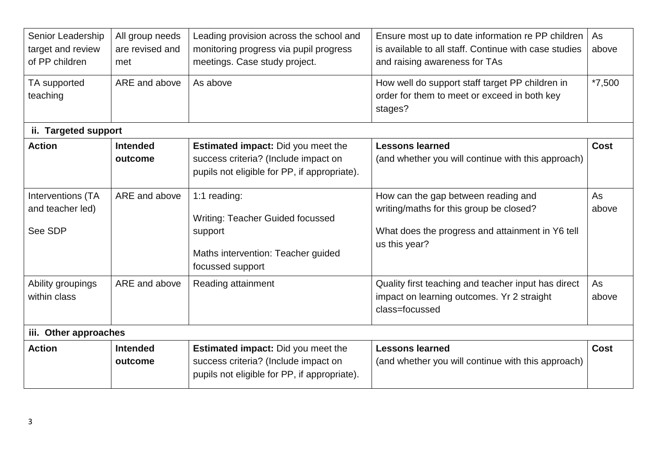| Senior Leadership<br>target and review<br>of PP children | All group needs<br>are revised and<br>met | Leading provision across the school and<br>monitoring progress via pupil progress<br>meetings. Case study project.                | Ensure most up to date information re PP children<br>is available to all staff. Continue with case studies<br>and raising awareness for TAs         | As<br>above |
|----------------------------------------------------------|-------------------------------------------|-----------------------------------------------------------------------------------------------------------------------------------|-----------------------------------------------------------------------------------------------------------------------------------------------------|-------------|
| TA supported<br>teaching                                 | ARE and above                             | As above                                                                                                                          | How well do support staff target PP children in<br>order for them to meet or exceed in both key<br>stages?                                          | $*7,500$    |
| ii. Targeted support                                     |                                           |                                                                                                                                   |                                                                                                                                                     |             |
| <b>Action</b>                                            | <b>Intended</b><br>outcome                | <b>Estimated impact:</b> Did you meet the<br>success criteria? (Include impact on<br>pupils not eligible for PP, if appropriate). | <b>Lessons learned</b><br>(and whether you will continue with this approach)                                                                        | <b>Cost</b> |
| Interventions (TA<br>and teacher led)<br>See SDP         | ARE and above                             | 1:1 reading:<br><b>Writing: Teacher Guided focussed</b><br>support<br>Maths intervention: Teacher guided<br>focussed support      | How can the gap between reading and<br>writing/maths for this group be closed?<br>What does the progress and attainment in Y6 tell<br>us this year? | As<br>above |
| Ability groupings<br>within class                        | ARE and above                             | Reading attainment                                                                                                                | Quality first teaching and teacher input has direct<br>impact on learning outcomes. Yr 2 straight<br>class=focussed                                 | As<br>above |
| iii. Other approaches                                    |                                           |                                                                                                                                   |                                                                                                                                                     |             |
| <b>Action</b>                                            | <b>Intended</b><br>outcome                | Estimated impact: Did you meet the<br>success criteria? (Include impact on<br>pupils not eligible for PP, if appropriate).        | <b>Lessons learned</b><br>(and whether you will continue with this approach)                                                                        | <b>Cost</b> |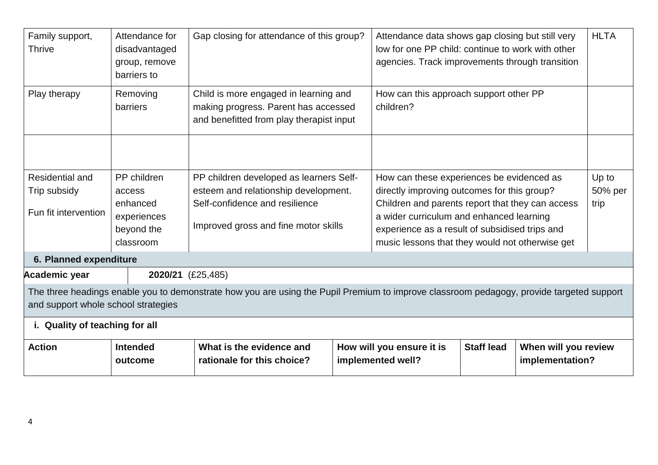| Family support,<br><b>Thrive</b>                               | Attendance for<br>disadvantaged<br>group, remove<br>barriers to             | Gap closing for attendance of this group?                                                                                                                 | Attendance data shows gap closing but still very<br>low for one PP child: continue to work with other<br>agencies. Track improvements through transition                                                                                                                                      |                   | <b>HLTA</b>                             |                          |
|----------------------------------------------------------------|-----------------------------------------------------------------------------|-----------------------------------------------------------------------------------------------------------------------------------------------------------|-----------------------------------------------------------------------------------------------------------------------------------------------------------------------------------------------------------------------------------------------------------------------------------------------|-------------------|-----------------------------------------|--------------------------|
| Play therapy                                                   | Removing<br>barriers                                                        | Child is more engaged in learning and<br>making progress. Parent has accessed<br>and benefitted from play therapist input                                 | How can this approach support other PP<br>children?                                                                                                                                                                                                                                           |                   |                                         |                          |
|                                                                |                                                                             |                                                                                                                                                           |                                                                                                                                                                                                                                                                                               |                   |                                         |                          |
| <b>Residential and</b><br>Trip subsidy<br>Fun fit intervention | PP children<br>access<br>enhanced<br>experiences<br>beyond the<br>classroom | PP children developed as learners Self-<br>esteem and relationship development.<br>Self-confidence and resilience<br>Improved gross and fine motor skills | How can these experiences be evidenced as<br>directly improving outcomes for this group?<br>Children and parents report that they can access<br>a wider curriculum and enhanced learning<br>experience as a result of subsidised trips and<br>music lessons that they would not otherwise get |                   |                                         | Up to<br>50% per<br>trip |
| 6. Planned expenditure                                         |                                                                             |                                                                                                                                                           |                                                                                                                                                                                                                                                                                               |                   |                                         |                          |
| Academic year                                                  | 2020/21 (£25,485)                                                           |                                                                                                                                                           |                                                                                                                                                                                                                                                                                               |                   |                                         |                          |
| and support whole school strategies                            |                                                                             | The three headings enable you to demonstrate how you are using the Pupil Premium to improve classroom pedagogy, provide targeted support                  |                                                                                                                                                                                                                                                                                               |                   |                                         |                          |
| i. Quality of teaching for all                                 |                                                                             |                                                                                                                                                           |                                                                                                                                                                                                                                                                                               |                   |                                         |                          |
| <b>Action</b>                                                  | <b>Intended</b><br>outcome                                                  | What is the evidence and<br>rationale for this choice?                                                                                                    | How will you ensure it is<br>implemented well?                                                                                                                                                                                                                                                | <b>Staff lead</b> | When will you review<br>implementation? |                          |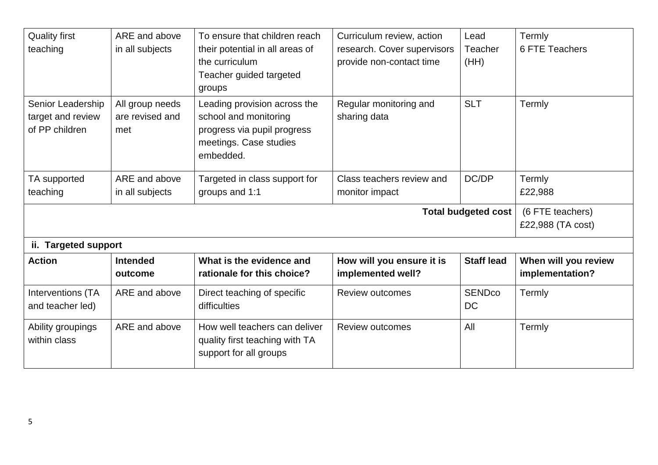| <b>Quality first</b><br>teaching                         | ARE and above<br>in all subjects          | To ensure that children reach<br>their potential in all areas of<br>the curriculum<br>Teacher guided targeted<br>groups     | Curriculum review, action<br>research. Cover supervisors<br>provide non-contact time | Lead<br>Teacher<br>(HH)    | Termly<br>6 FTE Teachers                |
|----------------------------------------------------------|-------------------------------------------|-----------------------------------------------------------------------------------------------------------------------------|--------------------------------------------------------------------------------------|----------------------------|-----------------------------------------|
| Senior Leadership<br>target and review<br>of PP children | All group needs<br>are revised and<br>met | Leading provision across the<br>school and monitoring<br>progress via pupil progress<br>meetings. Case studies<br>embedded. | Regular monitoring and<br>sharing data                                               | <b>SLT</b>                 | Termly                                  |
| TA supported<br>teaching                                 | ARE and above<br>in all subjects          | Targeted in class support for<br>groups and 1:1                                                                             | Class teachers review and<br>monitor impact                                          | DC/DP                      | Termly<br>£22,988                       |
| <b>Total budgeted cost</b>                               |                                           |                                                                                                                             |                                                                                      |                            | (6 FTE teachers)<br>£22,988 (TA cost)   |
| <b>Targeted support</b><br>ii.                           |                                           |                                                                                                                             |                                                                                      |                            |                                         |
| <b>Action</b>                                            | <b>Intended</b><br>outcome                | What is the evidence and<br>rationale for this choice?                                                                      | How will you ensure it is<br>implemented well?                                       | <b>Staff lead</b>          | When will you review<br>implementation? |
| Interventions (TA<br>and teacher led)                    | ARE and above                             | Direct teaching of specific<br>difficulties                                                                                 | <b>Review outcomes</b>                                                               | <b>SENDco</b><br><b>DC</b> | Termly                                  |
| Ability groupings<br>within class                        | ARE and above                             | How well teachers can deliver<br>quality first teaching with TA                                                             | <b>Review outcomes</b>                                                               | All                        | Termly                                  |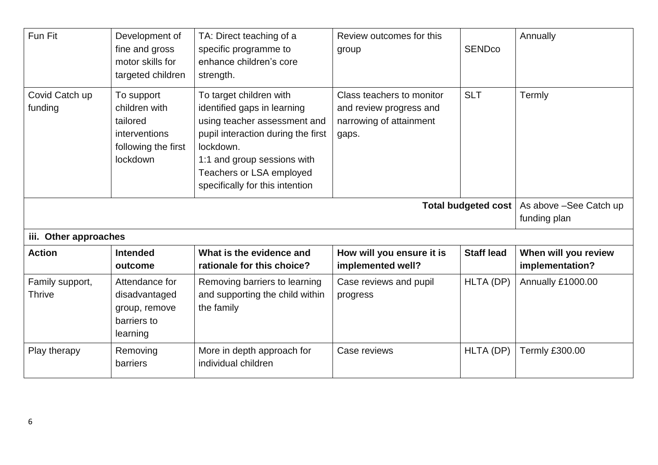| Fun Fit                          | Development of<br>fine and gross<br>motor skills for<br>targeted children                   | TA: Direct teaching of a<br>specific programme to<br>enhance children's core<br>strength.                                                                                                                                               | Review outcomes for this<br>group                                                        | <b>SENDco</b>              | Annually                                |
|----------------------------------|---------------------------------------------------------------------------------------------|-----------------------------------------------------------------------------------------------------------------------------------------------------------------------------------------------------------------------------------------|------------------------------------------------------------------------------------------|----------------------------|-----------------------------------------|
| Covid Catch up<br>funding        | To support<br>children with<br>tailored<br>interventions<br>following the first<br>lockdown | To target children with<br>identified gaps in learning<br>using teacher assessment and<br>pupil interaction during the first<br>lockdown.<br>1:1 and group sessions with<br>Teachers or LSA employed<br>specifically for this intention | Class teachers to monitor<br>and review progress and<br>narrowing of attainment<br>gaps. | <b>SLT</b>                 | Termly                                  |
|                                  |                                                                                             |                                                                                                                                                                                                                                         |                                                                                          | <b>Total budgeted cost</b> | As above -See Catch up<br>funding plan  |
| iii. Other approaches            |                                                                                             |                                                                                                                                                                                                                                         |                                                                                          |                            |                                         |
| <b>Action</b>                    | <b>Intended</b><br>outcome                                                                  | What is the evidence and<br>rationale for this choice?                                                                                                                                                                                  | How will you ensure it is<br>implemented well?                                           | <b>Staff lead</b>          | When will you review<br>implementation? |
| Family support,<br><b>Thrive</b> | Attendance for<br>disadvantaged<br>group, remove<br>barriers to<br>learning                 | Removing barriers to learning<br>and supporting the child within<br>the family                                                                                                                                                          | Case reviews and pupil<br>progress                                                       | HLTA (DP)                  | Annually £1000.00                       |
| Play therapy                     | Removing<br>barriers                                                                        | More in depth approach for<br>individual children                                                                                                                                                                                       | Case reviews                                                                             | HLTA (DP)                  | <b>Termly £300.00</b>                   |